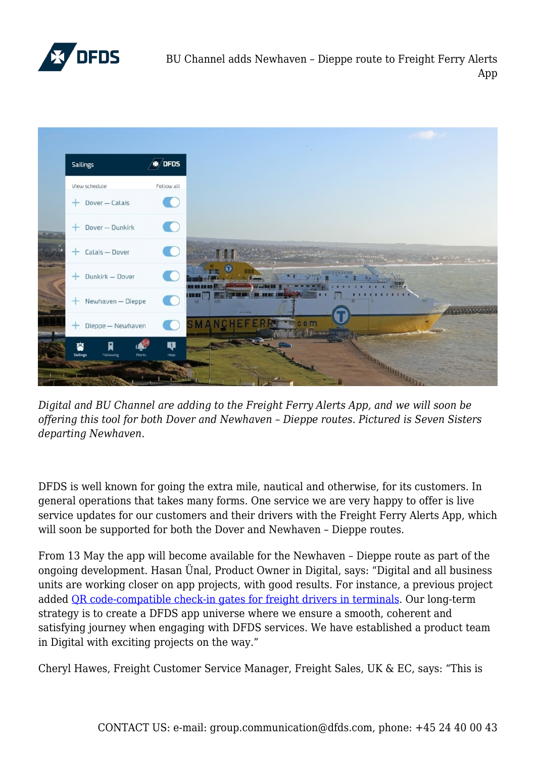

BU Channel adds Newhaven – Dieppe route to Freight Ferry Alerts App



*Digital and BU Channel are adding to the Freight Ferry Alerts App, and we will soon be offering this tool for both Dover and Newhaven – Dieppe routes. Pictured is Seven Sisters departing Newhaven.*

DFDS is well known for going the extra mile, nautical and otherwise, for its customers. In general operations that takes many forms. One service we are very happy to offer is live service updates for our customers and their drivers with the Freight Ferry Alerts App, which will soon be supported for both the Dover and Newhaven – Dieppe routes.

From 13 May the app will become available for the Newhaven – Dieppe route as part of the ongoing development. Hasan Ünal, Product Owner in Digital, says: "Digital and all business units are working closer on app projects, with good results. For instance, a previous project added [QR code-compatible check-in gates for freight drivers in terminals.](https://www.dfds-news.com/digital/app-update-can-cut-30-of-terminal-check-in-time-for-lorries/) Our long-term strategy is to create a DFDS app universe where we ensure a smooth, coherent and satisfying journey when engaging with DFDS services. We have established a product team in Digital with exciting projects on the way."

Cheryl Hawes, Freight Customer Service Manager, Freight Sales, UK & EC, says: "This is